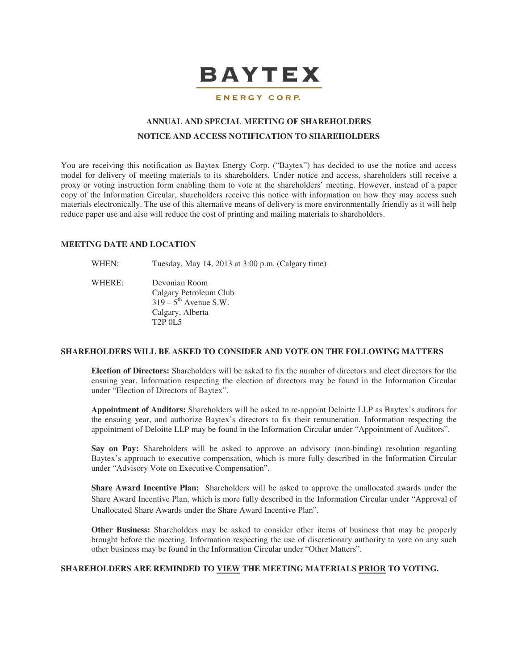

#### ENERGY CORP.

# **ANNUAL AND SPECIAL MEETING OF SHAREHOLDERS NOTICE AND ACCESS NOTIFICATION TO SHAREHOLDERS**

You are receiving this notification as Baytex Energy Corp. ("Baytex") has decided to use the notice and access model for delivery of meeting materials to its shareholders. Under notice and access, shareholders still receive a proxy or voting instruction form enabling them to vote at the shareholders' meeting. However, instead of a paper copy of the Information Circular, shareholders receive this notice with information on how they may access such materials electronically. The use of this alternative means of delivery is more environmentally friendly as it will help reduce paper use and also will reduce the cost of printing and mailing materials to shareholders.

#### **MEETING DATE AND LOCATION**

WHEN: Tuesday, May 14, 2013 at 3:00 p.m. (Calgary time)

WHERE: Devonian Room Calgary Petroleum Club  $319 - 5$ <sup>th</sup> Avenue S.W. Calgary, Alberta T2P 0L5

## **SHAREHOLDERS WILL BE ASKED TO CONSIDER AND VOTE ON THE FOLLOWING MATTERS**

**Election of Directors:** Shareholders will be asked to fix the number of directors and elect directors for the ensuing year. Information respecting the election of directors may be found in the Information Circular under "Election of Directors of Baytex".

**Appointment of Auditors:** Shareholders will be asked to re-appoint Deloitte LLP as Baytex's auditors for the ensuing year, and authorize Baytex's directors to fix their remuneration. Information respecting the appointment of Deloitte LLP may be found in the Information Circular under "Appointment of Auditors".

**Say on Pay:** Shareholders will be asked to approve an advisory (non-binding) resolution regarding Baytex's approach to executive compensation, which is more fully described in the Information Circular under "Advisory Vote on Executive Compensation".

**Share Award Incentive Plan:** Shareholders will be asked to approve the unallocated awards under the Share Award Incentive Plan, which is more fully described in the Information Circular under "Approval of Unallocated Share Awards under the Share Award Incentive Plan".

**Other Business:** Shareholders may be asked to consider other items of business that may be properly brought before the meeting. Information respecting the use of discretionary authority to vote on any such other business may be found in the Information Circular under "Other Matters".

## **SHAREHOLDERS ARE REMINDED TO VIEW THE MEETING MATERIALS PRIOR TO VOTING.**